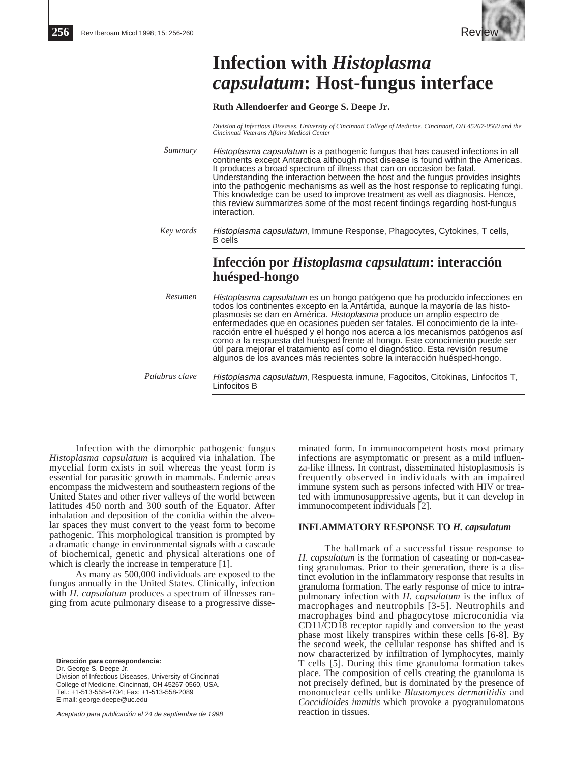

# **Infection with** *Histoplasma capsulatum***: Host-fungus interface**

**Ruth Allendoerfer and George S. Deepe Jr.**

*Division of Infectious Diseases, University of Cincinnati College of Medicine, Cincinnati, OH 45267-0560 and the Cincinnati Veterans Affairs Medical Center*

*Summary* Histoplasma capsulatum is a pathogenic fungus that has caused infections in all continents except Antarctica although most disease is found within the Americas. It produces a broad spectrum of illness that can on occasion be fatal. Understanding the interaction between the host and the fungus provides insights into the pathogenic mechanisms as well as the host response to replicating fungi. This knowledge can be used to improve treatment as well as diagnosis. Hence, this review summarizes some of the most recent findings regarding host-fungus interaction.

*Key words* Histoplasma capsulatum, Immune Response, Phagocytes, Cytokines, T cells, B cells

## **Infección por** *Histoplasma capsulatum***: interacción huésped-hongo**

Histoplasma capsulatum es un hongo patógeno que ha producido infecciones en todos los continentes excepto en la Antártida, aunque la mayoría de las histoplasmosis se dan en América. Histoplasma produce un amplio espectro de enfermedades que en ocasiones pueden ser fatales. El conocimiento de la interacción entre el huésped y el hongo nos acerca a los mecanismos patógenos así como a la respuesta del huésped frente al hongo. Este conocimiento puede ser útil para mejorar el tratamiento así como el diagnóstico. Esta revisión resume algunos de los avances más recientes sobre la interacción huésped-hongo. *Resumen*

Histoplasma capsulatum, Respuesta inmune, Fagocitos, Citokinas, Linfocitos T, Linfocitos B *Palabras clave*

Infection with the dimorphic pathogenic fungus *Histoplasma capsulatum* is acquired via inhalation. The mycelial form exists in soil whereas the yeast form is essential for parasitic growth in mammals. Endemic areas encompass the midwestern and southeastern regions of the United States and other river valleys of the world between latitudes 450 north and 300 south of the Equator. After inhalation and deposition of the conidia within the alveolar spaces they must convert to the yeast form to become pathogenic. This morphological transition is prompted by a dramatic change in environmental signals with a cascade of biochemical, genetic and physical alterations one of which is clearly the increase in temperature [1].

As many as 500,000 individuals are exposed to the fungus annually in the United States. Clinically, infection with *H. capsulatum* produces a spectrum of illnesses ranging from acute pulmonary disease to a progressive disse-

**Dirección para correspondencia:** Dr. George S. Deepe Jr. Division of Infectious Diseases, University of Cincinnati College of Medicine, Cincinnati, OH 45267-0560, USA. Tel.: +1-513-558-4704; Fax: +1-513-558-2089 E-mail: george.deepe@uc.edu

Aceptado para publicación el 24 de septiembre de 1998

minated form. In immunocompetent hosts most primary infections are asymptomatic or present as a mild influenza-like illness. In contrast, disseminated histoplasmosis is frequently observed in individuals with an impaired immune system such as persons infected with HIV or treated with immunosuppressive agents, but it can develop in immunocompetent individuals [2].

### **INFLAMMATORY RESPONSE TO** *H. capsulatum*

The hallmark of a successful tissue response to *H. capsulatum* is the formation of caseating or non-caseating granulomas. Prior to their generation, there is a distinct evolution in the inflammatory response that results in granuloma formation. The early response of mice to intrapulmonary infection with *H. capsulatum* is the influx of macrophages and neutrophils [3-5]. Neutrophils and macrophages bind and phagocytose microconidia via CD11/CD18 receptor rapidly and conversion to the yeast phase most likely transpires within these cells [6-8]. By the second week, the cellular response has shifted and is now characterized by infiltration of lymphocytes, mainly T cells [5]. During this time granuloma formation takes place. The composition of cells creating the granuloma is not precisely defined, but is dominated by the presence of mononuclear cells unlike *Blastomyces dermatitidis* and *Coccidioides immitis* which provoke a pyogranulomatous reaction in tissues.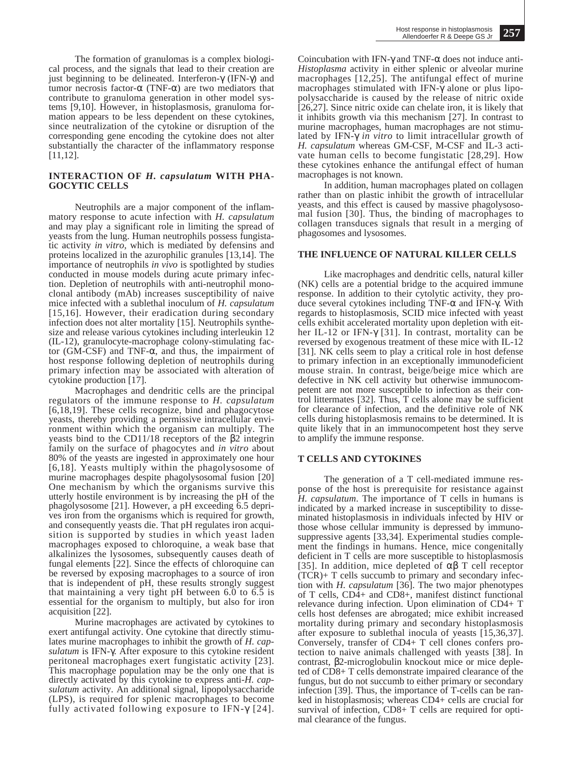The formation of granulomas is a complex biological process, and the signals that lead to their creation are just beginning to be delineated. Interferon-γ (IFN-γ) and tumor necrosis factor-α (TNF-α) are two mediators that contribute to granuloma generation in other model systems [9,10]. However, in histoplasmosis, granuloma formation appears to be less dependent on these cytokines, since neutralization of the cytokine or disruption of the corresponding gene encoding the cytokine does not alter substantially the character of the inflammatory response [11,12].

#### **INTERACTION OF** *H. capsulatum* **WITH PHA-GOCYTIC CELLS**

Neutrophils are a major component of the inflammatory response to acute infection with *H. capsulatum* and may play a significant role in limiting the spread of yeasts from the lung. Human neutrophils possess fungistatic activity *in vitro,* which is mediated by defensins and proteins localized in the azurophilic granules [13,14]. The importance of neutrophils *in vivo* is spotlighted by studies conducted in mouse models during acute primary infection. Depletion of neutrophils with anti-neutrophil monoclonal antibody (mAb) increases susceptibility of naive mice infected with a sublethal inoculum of *H. capsulatum* [15,16]. However, their eradication during secondary infection does not alter mortality [15]. Neutrophils synthesize and release various cytokines including interleukin 12 (IL-12), granulocyte-macrophage colony-stimulating factor (GM-CSF) and TNF-α, and thus, the impairment of host response following depletion of neutrophils during primary infection may be associated with alteration of cytokine production [17].

Macrophages and dendritic cells are the principal regulators of the immune response to *H. capsulatum* [6,18,19]. These cells recognize, bind and phagocytose yeasts, thereby providing a permissive intracellular environment within which the organism can multiply. The yeasts bind to the CD11/18 receptors of the β2 integrin family on the surface of phagocytes and *in vitro* about 80% of the yeasts are ingested in approximately one hour [6,18]. Yeasts multiply within the phagolysosome of murine macrophages despite phagolysosomal fusion [20] One mechanism by which the organisms survive this utterly hostile environment is by increasing the pH of the phagolysosome [21]. However, a pH exceeding 6.5 deprives iron from the organisms which is required for growth, and consequently yeasts die. That pH regulates iron acquisition is supported by studies in which yeast laden macrophages exposed to chloroquine, a weak base that alkalinizes the lysosomes, subsequently causes death of fungal elements [22]. Since the effects of chloroquine can be reversed by exposing macrophages to a source of iron that is independent of pH, these results strongly suggest that maintaining a very tight pH between 6.0 to 6.5 is essential for the organism to multiply, but also for iron acquisition [22].

Murine macrophages are activated by cytokines to exert antifungal activity. One cytokine that directly stimulates murine macrophages to inhibit the growth of *H. capsulatum* is IFN-γ. After exposure to this cytokine resident peritoneal macrophages exert fungistatic activity [23]. This macrophage population may be the only one that is directly activated by this cytokine to express anti-*H. capsulatum* activity. An additional signal, lipopolysaccharide (LPS), is required for splenic macrophages to become fully activated following exposure to IFN-γ [24].

Coincubation with IFN-γ and TNF-α does not induce anti-*Histoplasma* activity in either splenic or alveolar murine macrophages  $[12, 25]$ . The antifungal effect of murine macrophages stimulated with IFN-γ alone or plus lipopolysaccharide is caused by the release of nitric oxide [26,27]. Since nitric oxide can chelate iron, it is likely that it inhibits growth via this mechanism [27]. In contrast to murine macrophages, human macrophages are not stimulated by IFN-γ *in vitro* to limit intracellular growth of *H. capsulatum* whereas GM-CSF, M-CSF and IL-3 activate human cells to become fungistatic [28,29]. How these cytokines enhance the antifungal effect of human macrophages is not known.

In addition, human macrophages plated on collagen rather than on plastic inhibit the growth of intracellular yeasts, and this effect is caused by massive phagolysosomal fusion [30]. Thus, the binding of macrophages to collagen transduces signals that result in a merging of phagosomes and lysosomes.

### **THE INFLUENCE OF NATURAL KILLER CELLS**

Like macrophages and dendritic cells, natural killer (NK) cells are a potential bridge to the acquired immune response. In addition to their cytolytic activity, they produce several cytokines including TNF-α and IFN-γ. With regards to histoplasmosis, SCID mice infected with yeast cells exhibit accelerated mortality upon depletion with either IL-12 or IFN-γ [31]. In contrast, mortality can be reversed by exogenous treatment of these mice with IL-12 [31]. NK cells seem to play a critical role in host defense to primary infection in an exceptionally immunodeficient mouse strain. In contrast, beige/beige mice which are defective in NK cell activity but otherwise immunocompetent are not more susceptible to infection as their control littermates [32]. Thus, T cells alone may be sufficient for clearance of infection, and the definitive role of NK cells during histoplasmosis remains to be determined. It is quite likely that in an immunocompetent host they serve to amplify the immune response.

#### **T CELLS AND CYTOKINES**

The generation of a T cell-mediated immune response of the host is prerequisite for resistance against *H. capsulatum*. The importance of T cells in humans is indicated by a marked increase in susceptibility to disseminated histoplasmosis in individuals infected by HIV or those whose cellular immunity is depressed by immunosuppressive agents [33,34]. Experimental studies complement the findings in humans. Hence, mice congenitally deficient in T cells are more susceptible to histoplasmosis [35]. In addition, mice depleted of  $\alpha\beta$  T cell receptor (TCR)+ T cells succumb to primary and secondary infection with *H. capsulatum* [36]. The two major phenotypes of T cells, CD4+ and CD8+, manifest distinct functional relevance during infection. Upon elimination of CD4+ T cells host defenses are abrogated; mice exhibit increased mortality during primary and secondary histoplasmosis after exposure to sublethal inocula of yeasts [15,36,37]. Conversely, transfer of CD4+ T cell clones confers protection to naive animals challenged with yeasts [38]. In contrast, β2-microglobulin knockout mice or mice depleted of CD8+ T cells demonstrate impaired clearance of the fungus, but do not succumb to either primary or secondary infection [39]. Thus, the importance of T-cells can be ranked in histoplasmosis; whereas CD4+ cells are crucial for survival of infection, CD8+ T cells are required for optimal clearance of the fungus.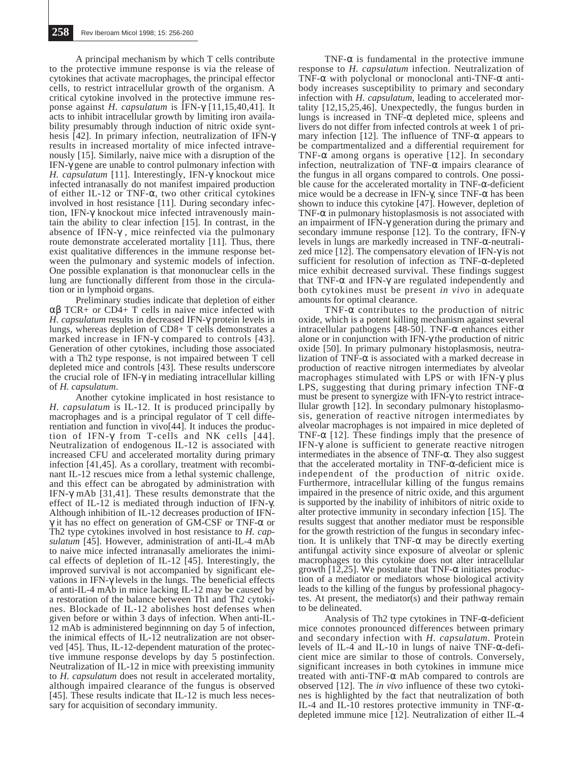A principal mechanism by which T cells contribute to the protective immune response is via the release of cytokines that activate macrophages, the principal effector cells, to restrict intracellular growth of the organism. A critical cytokine involved in the protective immune response against *H. capsulatum* is IFN-γ [11,15,40,41]. It acts to inhibit intracellular growth by limiting iron availability presumably through induction of nitric oxide synthesis [42]. In primary infection, neutralization of IFN-γ results in increased mortality of mice infected intravenously [15]. Similarly, naive mice with a disruption of the IFN-γ gene are unable to control pulmonary infection with *H. capsulatum* [11]. Interestingly, IFN-γ knockout mice infected intranasally do not manifest impaired production of either IL-12 or TNF-α, two other critical cytokines involved in host resistance [11]. During secondary infection, IFN-γ knockout mice infected intravenously maintain the ability to clear infection [15]. In contrast, in the absence of IFN-γ , mice reinfected via the pulmonary route demonstrate accelerated mortality [11]. Thus, there exist qualitative differences in the immune response between the pulmonary and systemic models of infection. One possible explanation is that mononuclear cells in the lung are functionally different from those in the circulation or in lymphoid organs.

Preliminary studies indicate that depletion of either αβ TCR+ or CD4+ T cells in naive mice infected with *H. capsulatum* results in decreased IFN-γ protein levels in lungs, whereas depletion of CD8+ T cells demonstrates a marked increase in IFN-γ compared to controls [43]. Generation of other cytokines, including those associated with a Th2 type response, is not impaired between T cell depleted mice and controls [43]. These results underscore the crucial role of IFN-γ in mediating intracellular killing of *H. capsulatum*.

Another cytokine implicated in host resistance to *H. capsulatum* is IL-12. It is produced principally by macrophages and is a principal regulator of T cell differentiation and function in vivo[44]. It induces the production of IFN-γ from T-cells and NK cells [44]. Neutralization of endogenous IL-12 is associated with increased CFU and accelerated mortality during primary infection [41,45]. As a corollary, treatment with recombinant IL-12 rescues mice from a lethal systemic challenge, and this effect can be abrogated by administration with IFN-γ mAb [31,41]. These results demonstrate that the effect of IL-12 is mediated through induction of IFN-γ. Although inhibition of IL-12 decreases production of IFNγ it has no effect on generation of GM-CSF or TNF-α or Th2 type cytokines involved in host resistance to *H. capsulatum* [45]. However, administration of anti-IL-4 mAb to naive mice infected intranasally ameliorates the inimical effects of depletion of IL-12 [45]. Interestingly, the improved survival is not accompanied by significant elevations in IFN-γ levels in the lungs. The beneficial effects of anti-IL-4 mAb in mice lacking IL-12 may be caused by a restoration of the balance between Th1 and Th2 cytokines. Blockade of IL-12 abolishes host defenses when given before or within 3 days of infection. When anti-IL-12 mAb is administered beginnning on day 5 of infection, the inimical effects of IL-12 neutralization are not observed [45]. Thus, IL-12-dependent maturation of the protective immune response develops by day 5 postinfection. Neutralization of IL-12 in mice with preexisting immunity to *H. capsulatum* does not result in accelerated mortality, although impaired clearance of the fungus is observed [45]. These results indicate that IL-12 is much less necessary for acquisition of secondary immunity.

TNF- $\alpha$  is fundamental in the protective immune response to *H. capsulatum* infection. Neutralization of TNF- $\alpha$  with polyclonal or monoclonal anti-TNF- $\alpha$  antibody increases susceptibility to primary and secondary infection with *H. capsulatum*, leading to accelerated mortality [12,15,25,46]. Unexpectedly, the fungus burden in lungs is increased in TNF- $\alpha$  depleted mice, spleens and livers do not differ from infected controls at week 1 of primary infection [12]. The influence of TNF- $\alpha$  appears to be compartmentalized and a differential requirement for TNF- $\alpha$  among organs is operative [12]. In secondary infection, neutralization of TNF- $\alpha$  impairs clearance of the fungus in all organs compared to controls. One possible cause for the accelerated mortality in TNF-α-deficient mice would be a decrease in IFN- $γ$ , since TNF- $α$  has been shown to induce this cytokine [47]. However, depletion of TNF- $\alpha$  in pulmonary histoplasmosis is not associated with an impairment of IFN-γ generation during the primary and secondary immune response [12]. To the contrary, IFN-γ levels in lungs are markedly increased in TNF-α-neutralized mice [12]. The compensatory elevation of IFN-γ is not sufficient for resolution of infection as TNF-α-depleted mice exhibit decreased survival. These findings suggest that TNF- $α$  and IFN- $γ$  are regulated independently and both cytokines must be present *in vivo* in adequate amounts for optimal clearance.

TNF-α contributes to the production of nitric oxide, which is a potent killing mechanism against several intracellular pathogens [48-50]. TNF-α enhances either alone or in conjunction with IFN-γ the production of nitric oxide [50]. In primary pulmonary histoplasmosis, neutralization of TNF- $\alpha$  is associated with a marked decrease in production of reactive nitrogen intermediates by alveolar macrophages stimulated with LPS or with IFN-γ plus LPS, suggesting that during primary infection TNF- $\alpha$ must be present to synergize with IFN-γ to restrict intracellular growth [12]. In secondary pulmonary histoplasmosis, generation of reactive nitrogen intermediates by alveolar macrophages is not impaired in mice depleted of TNF- $\alpha$  [12]. These findings imply that the presence of IFN-γ alone is sufficient to generate reactive nitrogen intermediates in the absence of TNF-α. They also suggest that the accelerated mortality in TNF- $α$ -deficient mice is independent of the production of nitric oxide. Furthermore, intracellular killing of the fungus remains impaired in the presence of nitric oxide, and this argument is supported by the inability of inhibitors of nitric oxide to alter protective immunity in secondary infection [15]. The results suggest that another mediator must be responsible for the growth restriction of the fungus in secondary infection. It is unlikely that TNF- $\alpha$  may be directly exerting antifungal activity since exposure of alveolar or splenic macrophages to this cytokine does not alter intracellular growth [12,25]. We postulate that TNF- $\alpha$  initiates production of a mediator or mediators whose biological activity leads to the killing of the fungus by professional phagocytes. At present, the mediator(s) and their pathway remain to be delineated.

Analysis of Th2 type cytokines in TNF-α-deficient mice connotes pronounced differences between primary and secondary infection with *H. capsulatum*. Protein levels of IL-4 and IL-10 in lungs of naive TNF-α-deficient mice are similar to those of controls. Conversely, significant increases in both cytokines in immune mice treated with anti-TNF- $\alpha$  mAb compared to controls are observed [12]. The *in vivo* influence of these two cytokines is highlighted by the fact that neutralization of both IL-4 and IL-10 restores protective immunity in TNF-α- depleted immune mice [12]. Neutralization of either IL-4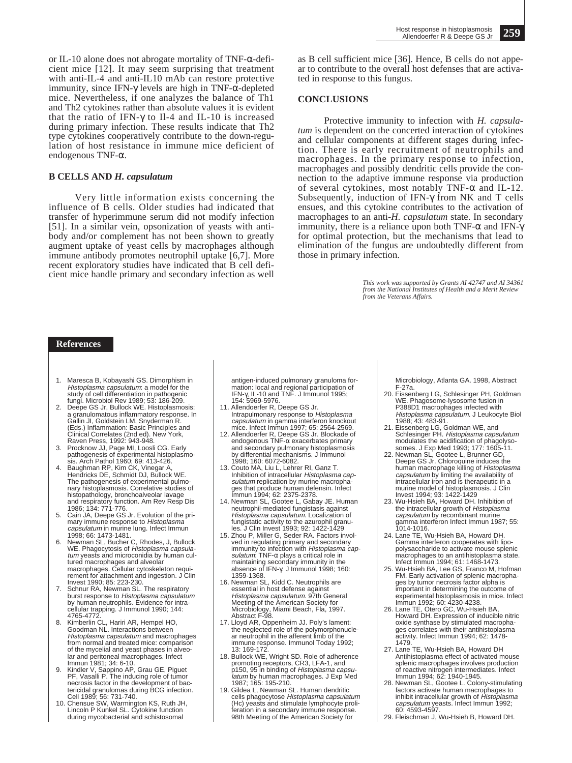or IL-10 alone does not abrogate mortality of TNF-α-deficient mice [12]. It may seem surprising that treatment with anti-IL-4 and anti-IL10 mAb can restore protective immunity, since IFN-γ levels are high in TNF-α-depleted mice. Nevertheless, if one analyzes the balance of Th1 and Th2 cytokines rather than absolute values it is evident that the ratio of IFN-γ to Il-4 and IL-10 is increased during primary infection. These results indicate that Th2 type cytokines cooperatively contribute to the down-regulation of host resistance in immune mice deficient of endogenous TNF-α.

#### **B CELLS AND** *H. capsulatum*

Very little information exists concerning the influence of B cells. Older studies had indicated that transfer of hyperimmune serum did not modify infection [51]. In a similar vein, opsonization of yeasts with antibody and/or complement has not been shown to greatly augment uptake of yeast cells by macrophages although immune antibody promotes neutrophil uptake [6,7]. More recent exploratory studies have indicated that B cell deficient mice handle primary and secondary infection as well

as B cell sufficient mice [36]. Hence, B cells do not appear to contribute to the overall host defenses that are activated in response to this fungus.

#### **CONCLUSIONS**

Protective immunity to infection with *H. capsulatum* is dependent on the concerted interaction of cytokines and cellular components at different stages during infection. There is early recruitment of neutrophils and macrophages. In the primary response to infection, macrophages and possibly dendritic cells provide the connection to the adaptive immune response via production of several cytokines, most notably  $TNF-\alpha$  and IL-12. Subsequently, induction of IFN-γ from NK and T cells ensues, and this cytokine contributes to the activation of macrophages to an anti-*H. capsulatum* state. In secondary immunity, there is a reliance upon both TNF- $\alpha$  and IFN- $\gamma$ for optimal protection, but the mechanisms that lead to elimination of the fungus are undoubtedly different from those in primary infection.

> *This work was supported by Grants AI 42747 and AI 34361 from the National Institutes of Health and a Merit Review from the Veterans Affairs.*

### **References**

- 1. Maresca B, Kobayashi GS. Dimorphism in Histoplasma capsulatum: a model for the<br>study of cell differentiation in pathogenic
- fungi. Microbiol Rev 1989; 53: 186-209. 2. Deepe GS Jr, Bullock WE. Histoplasmosis: a granulomatous inflammatory response. In Gallin JI, Goldstein LM, Snyderman R. (Eds.) Inflammation: Basic Principles and Clinical Correlates (2nd ed). New York,
- Raven Press, 1992: 943-948. 3. Procknow JJ, Page MI, Loosli CG. Early pathogenesis of experimental histoplasmo-
- sis. Arch Pathol 1960; 69: 413-426. 4. Baughman RP, Kim CK, Vinegar A, Hendricks DE, Schmidt DJ, Bullock WE. The pathogenesis of experimental pulmonary histoplasmosis. Correlative studies of histopathology, bronchoalveolar lavage and respiratory function. Am Rev Resp Dis 1986; 134: 771-776.
- 5. Cain JA, Deepe GS Jr. Evolution of the primary immune response to Histoplasma capsulatum in murine lung. Infect Immun  $1998: 66: 1473.1481$
- 6. Newman SL, Bucher C, Rhodes, J, Bullock WE. Phagocytosis of Histoplasma capsulatum yeasts and microconidia by human cultured macrophages and alveolar macrophages. Cellular cytoskeleton requirement for attachment and ingestion. J Clin
- Invest 1990; 85: 223-230. 7. Schnur RA, Newman SL. The respiratory burst response to Histoplasma capsulatum by human neutrophils. Evidence for intracellular trapping. J Immunol 1990; 144: 4765-4772.
- 8. Kimberlin CL, Hariri AR, Hempel HO, Goodman NL. Interactions between Histoplasma capsulatum and macrophages from normal and treated mice: comparison of the mycelial and yeast phases in alveolar and peritoneal macrophages. Infect
- Immun 1981; 34: 6-10. 9. Kindler V, Sappino AP, Grau GE, Piguet PF, Vasalli P. The inducing role of tumor necrosis factor in the development of bac-tericidal granulomas during BCG infection. Cell 1989; 56: 731-740.
- 10. Chensue SW, Warmington KS, Ruth JH, Lincoln P Kunkel SL. Cytokine function during mycobacterial and schistosomal

antigen-induced pulmonary granuloma for-mation: local and regional participation of IFN-γ, IL-10 and TNF. J Immunol 1995; 154: 5969-5976.

- 11. Allendoerfer R, Deepe GS Jr. Intrapulmonary response to Histoplasma capsulatum in gamma interferon knockout mice. Infect Immun 1997; 65: 2564-2569.
- 12. Allendoerfer R, Deepe GS Jr. Blockade of endogenous TNF-α exacerbates primary and secondary pulmonary histoplasmosis by differential mechanisms. J Immunol 1998; 160: 6072-6082. 13. Couto MA, Liu L, Lehrer RI, Ganz T.
- Inhibition of intracellular Histoplasma capsulatum replication by murine macrophages that produce human defensin. Infect Immun 1994; 62: 2375-2378.
- 14. Newman SL, Gootee L, Gabay JE. Human neutrophil-mediated fungistasis against Histoplasma capsulatum. Localization of fungistatic activity to the azurophil granu-
- les. J Clin Invest 1993; 92: 1422-1429<br>15. Zhou P, Miller G, Seder RA. Factors involved in regulating primary and secondary<br>immunity to infection with *Histoplasma cap*s*ulatum*: TNF-α plays a critical role in<br>maintaining secondary immunity in the<br>absence of IFN-γ. J Immunol 1998; 160: 1359-1368.
- 16. Newman SL, Kidd C. Neutrophils are essential in host defense against<br>*Histoplasma capsulatum*. 97th General Meeting of the American Society for Microbiology, Miami Beach, Fla, 1997. Abstract F-98.
- 17. Lloyd AR, Oppenheim JJ. Poly's lament: the neglected role of the polymorphonucle-ar neutrophil in the afferent limb of the immune response. Immunol Today 1992; 13: 169-172.
- 18. Bullock WE, Wright SD. Role of adherence promoting receptors, CR3, LFA-1, and<br>p150, 95 in binding of *Histoplasma capsu*latum by human macrophages. J Exp Med
- 1987; 165: 195-210. 19. Gildea L, Newman SL. Human dendritic cells phagocytose Histoplasma capsulatum (Hc) yeasts and stimulate lymphocyte proliferation in a secondary immune response. 98th Meeting of the American Society for

Microbiology, Atlanta GA. 1998, Abstract F-27a.

- 20. Eissenberg LG, Schlesinger PH, Goldman WE. Phagosome-lysosome fusion in<br>P388D1 macrophages infected with<br>*Histoplasma capsulatum*. J Leukocyte Biol
- 1988; 43: 483-91. 21. Eissenberg LG, Goldman WE, and Schlesinger PH. Histoplasma capsulatum modulates the acidification of phagolyso-somes. J Exp Med 1993; 177: 1605-11. 22. Newman SL, Gootee L, Brunner GD,
- Deepe GS Jr. Chloroquine induces the<br>human macrophage killing of *Histoplasma* capsulatum by limiting the availability of intracellular iron and is therapeutic in a murine model of histoplasmosis. J Clin
- Invest 1994; 93: 1422-1429 23. Wu-Hsieh BA, Howard DH. Inhibition of the intracellular growth of Histoplasma capsulatum by recombinant murine
- gamma interferon Infect Immun 1987; 55: 1014-1016. 24. Lane TE, Wu-Hsieh BA, Howard DH. Gamma interferon cooperates with lipopolysaccharide to activate mouse splenic macrophages to an antihistoplasma state.
- Infect Immun 1994; 61: 1468-1473. 25. Wu-Hsieh BA, Lee GS, Franco M, Hofman FM. Early activation of splenic macrophages by tumor necrosis factor alpha is important in determining the outcome of experimental histoplasmosis in mice. Infect Immun 1992; 60: 4230-4238.
- 26. Lane TE, Otero GC, Wu-Hsieh BA, Howard DH. Expression of inducible nitric oxide synthase by stimulated macrophages correlates with their antihistoplasma activity. Infect Immun 1994; 62: 1478- 1479.
- 27. Lane TE, Wu-Hsieh BA, Howard DH Antihistoplasma effect of activated mouse splenic macrophages involves production of reactive nitrogen intermediates. Infect Immun 1994; 62: 1940-1945.
- 28. Newman SL, Gootee L. Colony-stimulating factors activate human macrophages to inhibit intracellular growth of *Histoplasma capsulatum* yeasts. Infect Immun 1992;<br>60: 4593-4597.
- 29. Fleischman J, Wu-Hsieh B, Howard DH.